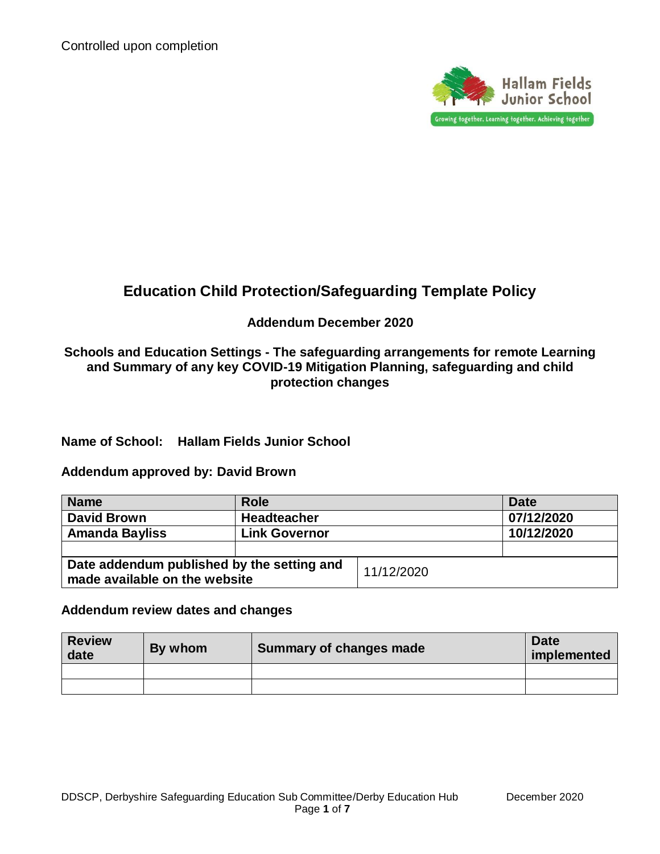

# **Education Child Protection/Safeguarding Template Policy**

## **Addendum December 2020**

**Schools and Education Settings - The safeguarding arrangements for remote Learning and Summary of any key COVID-19 Mitigation Planning, safeguarding and child protection changes**

**Name of School: Hallam Fields Junior School**

#### **Addendum approved by: David Brown**

| <b>Name</b>                                                                 | <b>Role</b>          |            | <b>Date</b> |
|-----------------------------------------------------------------------------|----------------------|------------|-------------|
| David Brown                                                                 | <b>Headteacher</b>   |            | 07/12/2020  |
| <b>Amanda Bayliss</b>                                                       | <b>Link Governor</b> |            | 10/12/2020  |
|                                                                             |                      |            |             |
| Date addendum published by the setting and<br>made available on the website |                      | 11/12/2020 |             |

#### **Addendum review dates and changes**

| <b>Review</b><br>date | By whom | <b>Summary of changes made</b> | <b>Date</b><br>implemented |
|-----------------------|---------|--------------------------------|----------------------------|
|                       |         |                                |                            |
|                       |         |                                |                            |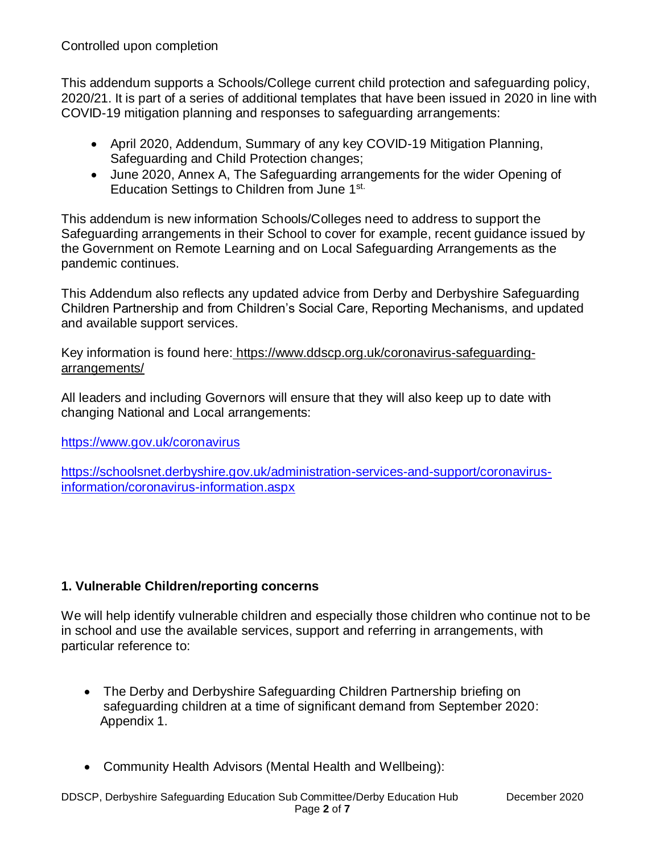This addendum supports a Schools/College current child protection and safeguarding policy, 2020/21. It is part of a series of additional templates that have been issued in 2020 in line with COVID-19 mitigation planning and responses to safeguarding arrangements:

- April 2020, Addendum, Summary of any key COVID-19 Mitigation Planning, Safeguarding and Child Protection changes;
- June 2020, Annex A, The Safeguarding arrangements for the wider Opening of Education Settings to Children from June 1st.

This addendum is new information Schools/Colleges need to address to support the Safeguarding arrangements in their School to cover for example, recent guidance issued by the Government on Remote Learning and on Local Safeguarding Arrangements as the pandemic continues.

This Addendum also reflects any updated advice from Derby and Derbyshire Safeguarding Children Partnership and from Children's Social Care, Reporting Mechanisms, and updated and available support services.

Key information is found here: [https://www.ddscp.org.uk/coronavirus-safeguarding](https://www.ddscp.org.uk/coronavirus-safeguarding-arrangements/)[arrangements/](https://www.ddscp.org.uk/coronavirus-safeguarding-arrangements/)

All leaders and including Governors will ensure that they will also keep up to date with changing National and Local arrangements:

<https://www.gov.uk/coronavirus>

[https://schoolsnet.derbyshire.gov.uk/administration-services-and-support/coronavirus](https://schoolsnet.derbyshire.gov.uk/administration-services-and-support/coronavirus-information/coronavirus-information.aspx)[information/coronavirus-information.aspx](https://schoolsnet.derbyshire.gov.uk/administration-services-and-support/coronavirus-information/coronavirus-information.aspx)

# **1. Vulnerable Children/reporting concerns**

We will help identify vulnerable children and especially those children who continue not to be in school and use the available services, support and referring in arrangements, with particular reference to:

- The Derby and Derbyshire Safeguarding Children Partnership briefing on safeguarding children at a time of significant demand from September 2020: Appendix 1.
- Community Health Advisors (Mental Health and Wellbeing):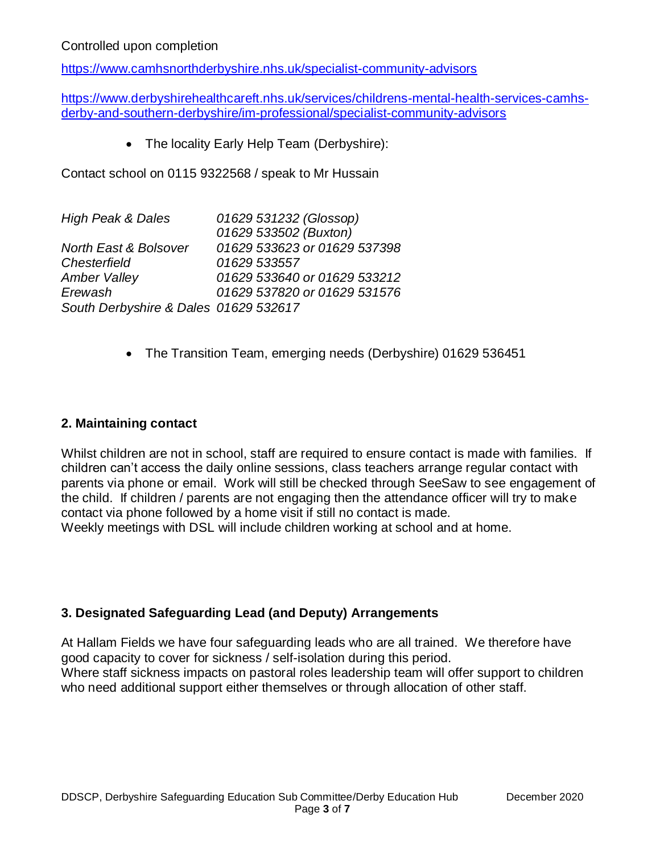<https://www.camhsnorthderbyshire.nhs.uk/specialist-community-advisors>

[https://www.derbyshirehealthcareft.nhs.uk/services/childrens-mental-health-services-camhs](https://www.derbyshirehealthcareft.nhs.uk/services/childrens-mental-health-services-camhs-derby-and-southern-derbyshire/im-professional/specialist-community-advisors)[derby-and-southern-derbyshire/im-professional/specialist-community-advisors](https://www.derbyshirehealthcareft.nhs.uk/services/childrens-mental-health-services-camhs-derby-and-southern-derbyshire/im-professional/specialist-community-advisors)

• The locality Early Help Team (Derbyshire):

Contact school on 0115 9322568 / speak to Mr Hussain

| <b>High Peak &amp; Dales</b>          | 01629 531232 (Glossop)       |
|---------------------------------------|------------------------------|
|                                       | 01629 533502 (Buxton)        |
| North East & Bolsover                 | 01629 533623 or 01629 537398 |
| Chesterfield                          | 01629 533557                 |
| <b>Amber Valley</b>                   | 01629 533640 or 01629 533212 |
| Erewash                               | 01629 537820 or 01629 531576 |
| South Derbyshire & Dales 01629 532617 |                              |

The Transition Team, emerging needs (Derbyshire) 01629 536451

## **2. Maintaining contact**

Whilst children are not in school, staff are required to ensure contact is made with families. If children can't access the daily online sessions, class teachers arrange regular contact with parents via phone or email. Work will still be checked through SeeSaw to see engagement of the child. If children / parents are not engaging then the attendance officer will try to make contact via phone followed by a home visit if still no contact is made. Weekly meetings with DSL will include children working at school and at home.

#### **3. Designated Safeguarding Lead (and Deputy) Arrangements**

At Hallam Fields we have four safeguarding leads who are all trained. We therefore have good capacity to cover for sickness / self-isolation during this period. Where staff sickness impacts on pastoral roles leadership team will offer support to children who need additional support either themselves or through allocation of other staff.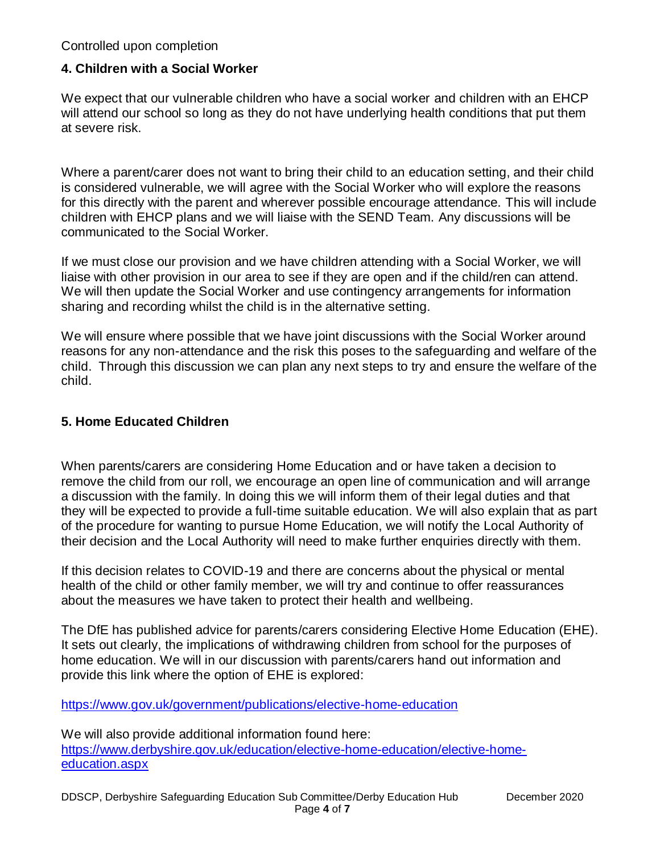## **4. Children with a Social Worker**

We expect that our vulnerable children who have a social worker and children with an EHCP will attend our school so long as they do not have underlying health conditions that put them at severe risk.

Where a parent/carer does not want to bring their child to an education setting, and their child is considered vulnerable, we will agree with the Social Worker who will explore the reasons for this directly with the parent and wherever possible encourage attendance. This will include children with EHCP plans and we will liaise with the SEND Team. Any discussions will be communicated to the Social Worker.

If we must close our provision and we have children attending with a Social Worker, we will liaise with other provision in our area to see if they are open and if the child/ren can attend. We will then update the Social Worker and use contingency arrangements for information sharing and recording whilst the child is in the alternative setting.

We will ensure where possible that we have joint discussions with the Social Worker around reasons for any non-attendance and the risk this poses to the safeguarding and welfare of the child. Through this discussion we can plan any next steps to try and ensure the welfare of the child.

### **5. Home Educated Children**

When parents/carers are considering Home Education and or have taken a decision to remove the child from our roll, we encourage an open line of communication and will arrange a discussion with the family. In doing this we will inform them of their legal duties and that they will be expected to provide a full-time suitable education. We will also explain that as part of the procedure for wanting to pursue Home Education, we will notify the Local Authority of their decision and the Local Authority will need to make further enquiries directly with them.

If this decision relates to COVID-19 and there are concerns about the physical or mental health of the child or other family member, we will try and continue to offer reassurances about the measures we have taken to protect their health and wellbeing.

The DfE has published advice for parents/carers considering Elective Home Education (EHE). It sets out clearly, the implications of withdrawing children from school for the purposes of home education. We will in our discussion with parents/carers hand out information and provide this link where the option of EHE is explored:

<https://www.gov.uk/government/publications/elective-home-education>

We will also provide additional information found here: [https://www.derbyshire.gov.uk/education/elective-home-education/elective-home](https://www.derbyshire.gov.uk/education/elective-home-education/elective-home-education.aspx)[education.aspx](https://www.derbyshire.gov.uk/education/elective-home-education/elective-home-education.aspx)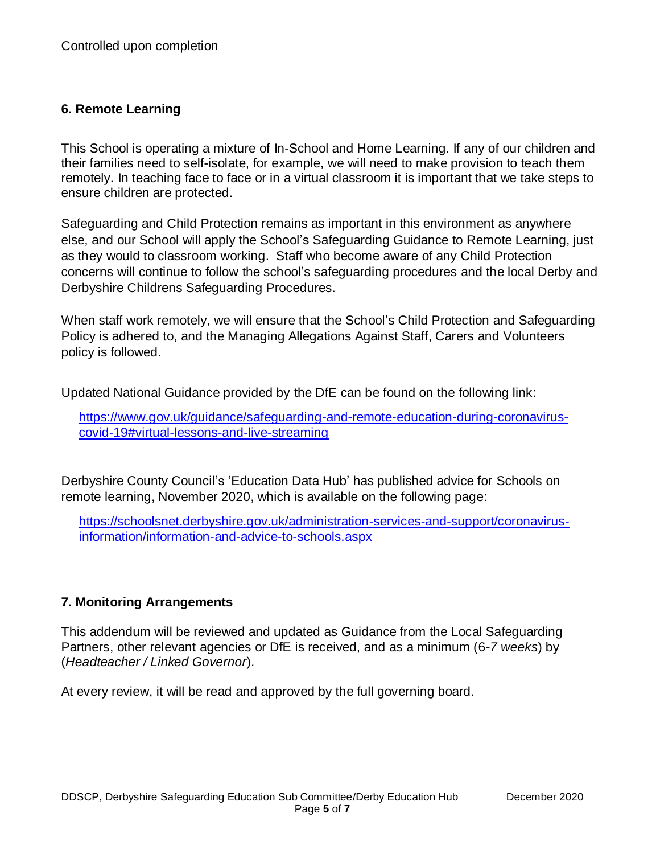# **6. Remote Learning**

This School is operating a mixture of In-School and Home Learning. If any of our children and their families need to self-isolate, for example, we will need to make provision to teach them remotely. In teaching face to face or in a virtual classroom it is important that we take steps to ensure children are protected.

Safeguarding and Child Protection remains as important in this environment as anywhere else, and our School will apply the School's Safeguarding Guidance to Remote Learning, just as they would to classroom working. Staff who become aware of any Child Protection concerns will continue to follow the school's safeguarding procedures and the local Derby and Derbyshire Childrens Safeguarding Procedures.

When staff work remotely, we will ensure that the School's Child Protection and Safeguarding Policy is adhered to, and the Managing Allegations Against Staff, Carers and Volunteers policy is followed.

Updated National Guidance provided by the DfE can be found on the following link:

[https://www.gov.uk/guidance/safeguarding-and-remote-education-during-coronavirus](https://www.gov.uk/guidance/safeguarding-and-remote-education-during-coronavirus-covid-19#virtual-lessons-and-live-streaming)[covid-19#virtual-lessons-and-live-streaming](https://www.gov.uk/guidance/safeguarding-and-remote-education-during-coronavirus-covid-19#virtual-lessons-and-live-streaming)

Derbyshire County Council's 'Education Data Hub' has published advice for Schools on remote learning, November 2020, which is available on the following page:

[https://schoolsnet.derbyshire.gov.uk/administration-services-and-support/coronavirus](https://schoolsnet.derbyshire.gov.uk/administration-services-and-support/coronavirus-information/information-and-advice-to-schools.aspx)[information/information-and-advice-to-schools.aspx](https://schoolsnet.derbyshire.gov.uk/administration-services-and-support/coronavirus-information/information-and-advice-to-schools.aspx)

# **7. Monitoring Arrangements**

This addendum will be reviewed and updated as Guidance from the Local Safeguarding Partners, other relevant agencies or DfE is received, and as a minimum (6*-7 weeks*) by (*Headteacher / Linked Governor*).

At every review, it will be read and approved by the full governing board.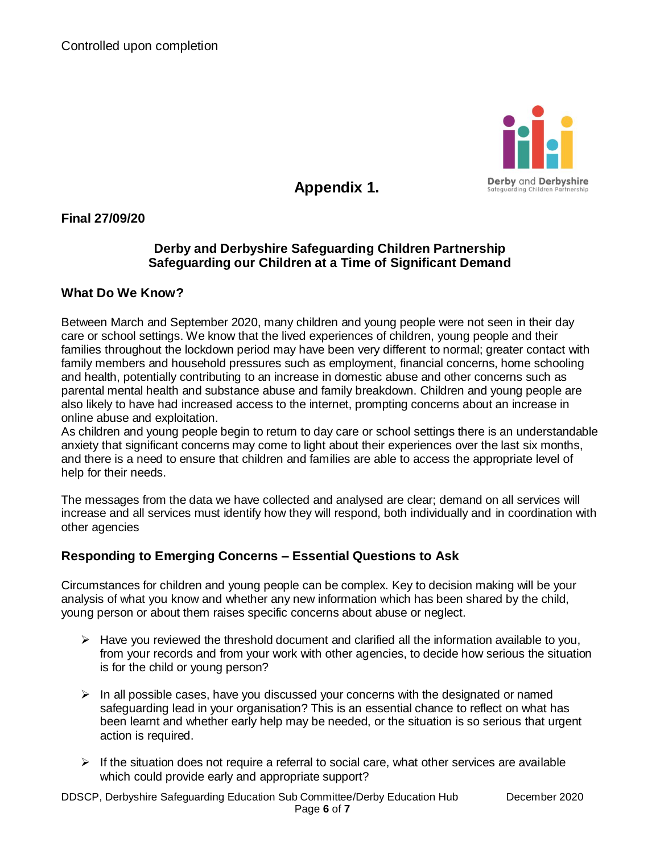

**Appendix 1.**

**Final 27/09/20** 

## **Derby and Derbyshire Safeguarding Children Partnership Safeguarding our Children at a Time of Significant Demand**

#### **What Do We Know?**

Between March and September 2020, many children and young people were not seen in their day care or school settings. We know that the lived experiences of children, young people and their families throughout the lockdown period may have been very different to normal; greater contact with family members and household pressures such as employment, financial concerns, home schooling and health, potentially contributing to an increase in domestic abuse and other concerns such as parental mental health and substance abuse and family breakdown. Children and young people are also likely to have had increased access to the internet, prompting concerns about an increase in online abuse and exploitation.

As children and young people begin to return to day care or school settings there is an understandable anxiety that significant concerns may come to light about their experiences over the last six months, and there is a need to ensure that children and families are able to access the appropriate level of help for their needs.

The messages from the data we have collected and analysed are clear; demand on all services will increase and all services must identify how they will respond, both individually and in coordination with other agencies

# **Responding to Emerging Concerns – Essential Questions to Ask**

Circumstances for children and young people can be complex. Key to decision making will be your analysis of what you know and whether any new information which has been shared by the child, young person or about them raises specific concerns about abuse or neglect.

- $\triangleright$  Have you reviewed the threshold document and clarified all the information available to you, from your records and from your work with other agencies, to decide how serious the situation is for the child or young person?
- $\triangleright$  In all possible cases, have you discussed your concerns with the designated or named safeguarding lead in your organisation? This is an essential chance to reflect on what has been learnt and whether early help may be needed, or the situation is so serious that urgent action is required.
- $\triangleright$  If the situation does not require a referral to social care, what other services are available which could provide early and appropriate support?

DDSCP, Derbyshire Safeguarding Education Sub Committee/Derby Education Hub December 2020 Page **6** of **7**